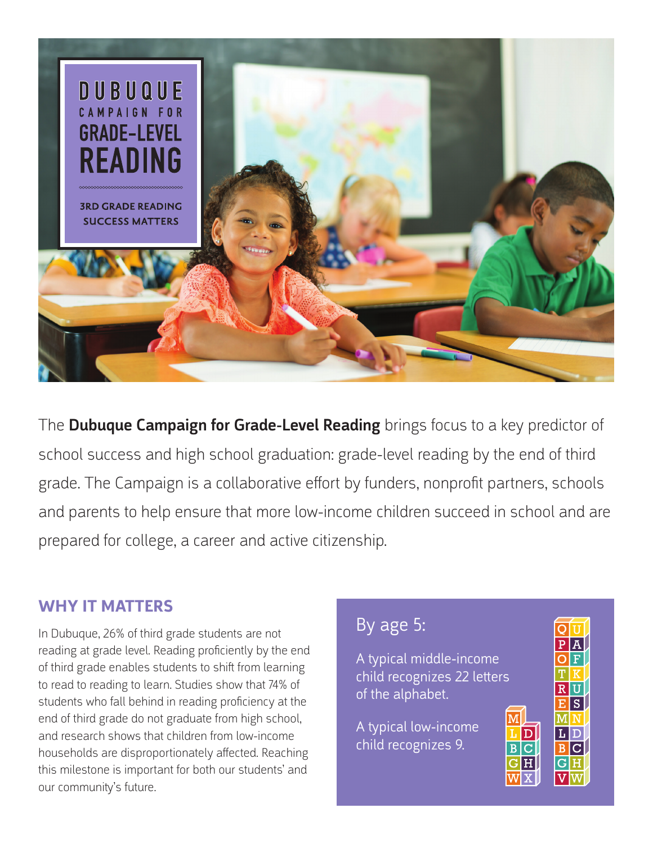

The **Dubuque Campaign for Grade-Level Reading** brings focus to a key predictor of school success and high school graduation: grade-level reading by the end of third grade. The Campaign is a collaborative effort by funders, nonprofit partners, schools and parents to help ensure that more low-income children succeed in school and are prepared for college, a career and active citizenship.

### **WHY IT MATTERS**

In Dubuque, 26% of third grade students are not reading at grade level. Reading proficiently by the end of third grade enables students to shift from learning to read to reading to learn. Studies show that 74% of students who fall behind in reading proficiency at the end of third grade do not graduate from high school, and research shows that children from low-income households are disproportionately affected. Reaching this milestone is important for both our students' and our community's future.

# By age 5:

A typical middle-income child recognizes 22 letters of the alphabet.

A typical low-income child recognizes 9.



M

 $B|C$ 

 $G|H$